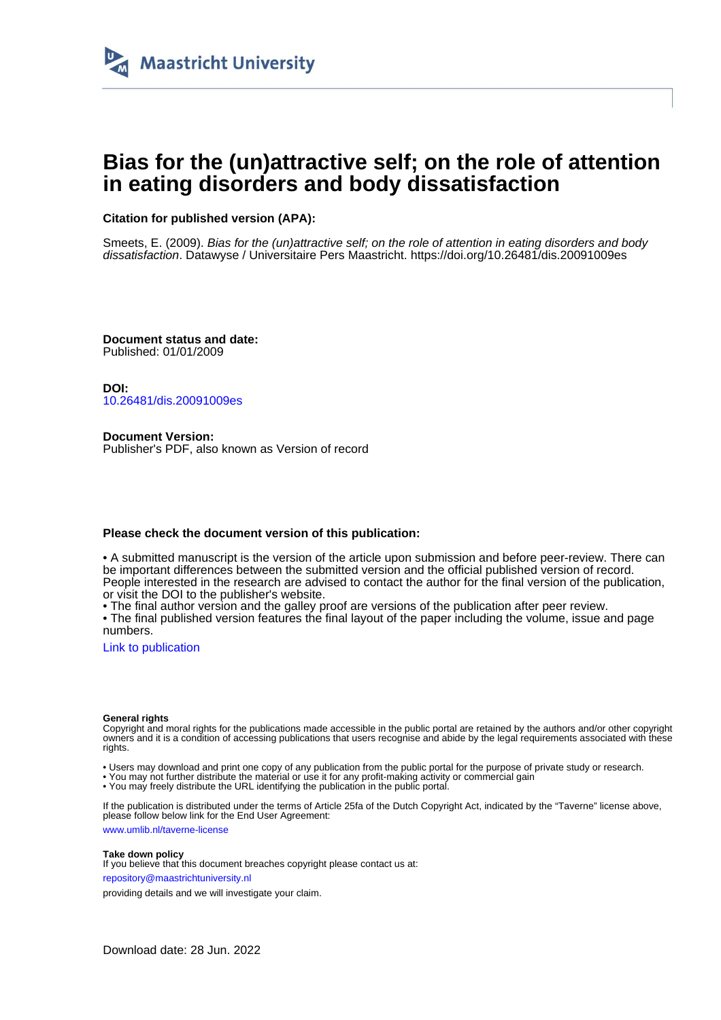

# **Bias for the (un)attractive self; on the role of attention in eating disorders and body dissatisfaction**

# **Citation for published version (APA):**

Smeets, E. (2009). Bias for the (un)attractive self; on the role of attention in eating disorders and body dissatisfaction. Datawyse / Universitaire Pers Maastricht. <https://doi.org/10.26481/dis.20091009es>

**Document status and date:** Published: 01/01/2009

**DOI:** [10.26481/dis.20091009es](https://doi.org/10.26481/dis.20091009es)

**Document Version:** Publisher's PDF, also known as Version of record

## **Please check the document version of this publication:**

• A submitted manuscript is the version of the article upon submission and before peer-review. There can be important differences between the submitted version and the official published version of record. People interested in the research are advised to contact the author for the final version of the publication, or visit the DOI to the publisher's website.

• The final author version and the galley proof are versions of the publication after peer review.

• The final published version features the final layout of the paper including the volume, issue and page numbers.

[Link to publication](https://cris.maastrichtuniversity.nl/en/publications/1a6de7d1-9d49-4a99-a1e4-28adf56db6be)

#### **General rights**

Copyright and moral rights for the publications made accessible in the public portal are retained by the authors and/or other copyright owners and it is a condition of accessing publications that users recognise and abide by the legal requirements associated with these rights.

• Users may download and print one copy of any publication from the public portal for the purpose of private study or research.

• You may not further distribute the material or use it for any profit-making activity or commercial gain

• You may freely distribute the URL identifying the publication in the public portal.

If the publication is distributed under the terms of Article 25fa of the Dutch Copyright Act, indicated by the "Taverne" license above, please follow below link for the End User Agreement:

www.umlib.nl/taverne-license

#### **Take down policy**

If you believe that this document breaches copyright please contact us at: repository@maastrichtuniversity.nl

providing details and we will investigate your claim.